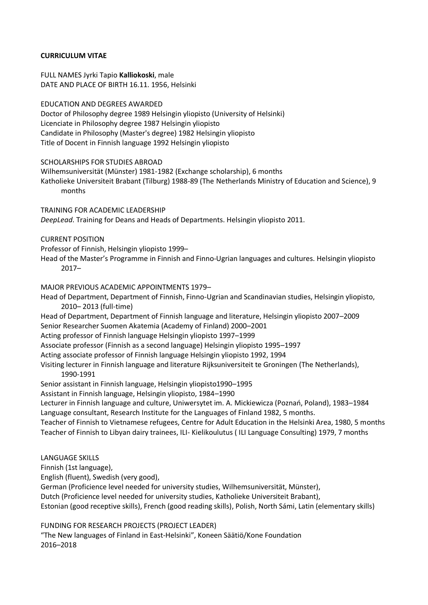# **CURRICULUM VITAE**

FULL NAMES Jyrki Tapio **Kalliokoski**, male DATE AND PLACE OF BIRTH 16.11. 1956, Helsinki

#### EDUCATION AND DEGREES AWARDED

Doctor of Philosophy degree 1989 Helsingin yliopisto (University of Helsinki) Licenciate in Philosophy degree 1987 Helsingin yliopisto Candidate in Philosophy (Master's degree) 1982 Helsingin yliopisto Title of Docent in Finnish language 1992 Helsingin yliopisto

## SCHOLARSHIPS FOR STUDIES ABROAD

Wilhemsuniversität (Münster) 1981-1982 (Exchange scholarship), 6 months Katholieke Universiteit Brabant (Tilburg) 1988-89 (The Netherlands Ministry of Education and Science), 9 months

TRAINING FOR ACADEMIC LEADERSHIP *DeepLead*. Training for Deans and Heads of Departments. Helsingin yliopisto 2011.

#### CURRENT POSITION

Professor of Finnish, Helsingin yliopisto 1999–

Head of the Master's Programme in Finnish and Finno-Ugrian languages and cultures. Helsingin yliopisto 2017–

#### MAJOR PREVIOUS ACADEMIC APPOINTMENTS 1979–

Head of Department, Department of Finnish, Finno-Ugrian and Scandinavian studies, Helsingin yliopisto, 2010– 2013 (full-time)

Head of Department, Department of Finnish language and literature, Helsingin yliopisto 2007–2009 Senior Researcher Suomen Akatemia (Academy of Finland) 2000–2001

Acting professor of Finnish language Helsingin yliopisto 1997–1999

Associate professor (Finnish as a second language) Helsingin yliopisto 1995–1997

Acting associate professor of Finnish language Helsingin yliopisto 1992, 1994

Visiting lecturer in Finnish language and literature Rijksuniversiteit te Groningen (The Netherlands), 1990-1991

Senior assistant in Finnish language, Helsingin yliopisto1990–1995

Assistant in Finnish language, Helsingin yliopisto, 1984–1990

Lecturer in Finnish language and culture, Uniwersytet im. A. Mickiewicza (Poznań, Poland), 1983–1984 Language consultant, Research Institute for the Languages of Finland 1982, 5 months.

Teacher of Finnish to Vietnamese refugees, Centre for Adult Education in the Helsinki Area, 1980, 5 months Teacher of Finnish to Libyan dairy trainees, ILI- Kielikoulutus ( ILI Language Consulting) 1979, 7 months

LANGUAGE SKILLS

Finnish (1st language),

English (fluent), Swedish (very good),

German (Proficience level needed for university studies, Wilhemsuniversität, Münster),

Dutch (Proficience level needed for university studies, Katholieke Universiteit Brabant),

Estonian (good receptive skills), French (good reading skills), Polish, North Sámi, Latin (elementary skills)

FUNDING FOR RESEARCH PROJECTS (PROJECT LEADER)

"The New languages of Finland in East-Helsinki", Koneen Säätiö/Kone Foundation 2016–2018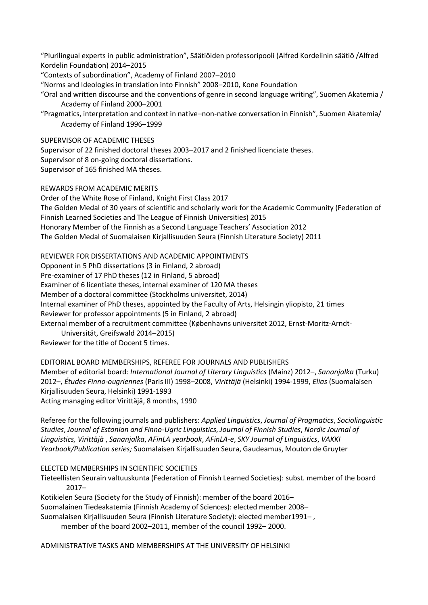"Plurilingual experts in public administration", Säätiöiden professoripooli (Alfred Kordelinin säätiö /Alfred Kordelin Foundation) 2014–2015

"Contexts of subordination", Academy of Finland 2007–2010

"Norms and Ideologies in translation into Finnish" 2008–2010, Kone Foundation

"Oral and written discourse and the conventions of genre in second language writing", Suomen Akatemia / Academy of Finland 2000–2001

"Pragmatics, interpretation and context in native–non-native conversation in Finnish", Suomen Akatemia/ Academy of Finland 1996–1999

SUPERVISOR OF ACADEMIC THESES

Supervisor of 22 finished doctoral theses 2003–2017 and 2 finished licenciate theses. Supervisor of 8 on-going doctoral dissertations. Supervisor of 165 finished MA theses.

REWARDS FROM ACADEMIC MERITS

Order of the White Rose of Finland, Knight First Class 2017 The Golden Medal of 30 years of scientific and scholarly work for the Academic Community (Federation of Finnish Learned Societies and The League of Finnish Universities) 2015 Honorary Member of the Finnish as a Second Language Teachers' Association 2012 The Golden Medal of Suomalaisen Kirjallisuuden Seura (Finnish Literature Society) 2011

REVIEWER FOR DISSERTATIONS AND ACADEMIC APPOINTMENTS

Opponent in 5 PhD dissertations (3 in Finland, 2 abroad)

Pre-examiner of 17 PhD theses (12 in Finland, 5 abroad)

Examiner of 6 licentiate theses, internal examiner of 120 MA theses

Member of a doctoral committee (Stockholms universitet, 2014)

Internal examiner of PhD theses, appointed by the Faculty of Arts, Helsingin yliopisto, 21 times

Reviewer for professor appointments (5 in Finland, 2 abroad)

External member of a recruitment committee (Københavns universitet 2012, Ernst-Moritz-Arndt-

Universität, Greifswald 2014–2015)

Reviewer for the title of Docent 5 times.

EDITORIAL BOARD MEMBERSHIPS, REFEREE FOR JOURNALS AND PUBLISHERS

Member of editorial board*: International Journal of Literary Linguistics* (Mainz) 2012–, *Sananjalka* (Turku) 2012–, *Études Finno-ougriennes* (Paris III) 1998–2008, *Virittäjä* (Helsinki) 1994-1999, *Elias* (Suomalaisen Kirjallisuuden Seura, Helsinki) 1991-1993 Acting managing editor Virittäjä, 8 months, 1990

Referee for the following journals and publishers: *Applied Linguistics*, *Journal of Pragmatics*, *Sociolinguistic Studies*, *Journal of Estonian and Finno-Ugric Linguistics*, *Journal of Finnish Studies*, *Nordic Journal of Linguistics, Virittäjä* , *Sananjalka*, *AFinLA yearbook*, *AFinLA-e*, *SKY Journal of Linguistics*, *VAKKI Yearbook/Publication series;* Suomalaisen Kirjallisuuden Seura, Gaudeamus, Mouton de Gruyter

ELECTED MEMBERSHIPS IN SCIENTIFIC SOCIETIES

Tieteellisten Seurain valtuuskunta (Federation of Finnish Learned Societies): subst. member of the board 2017–

Kotikielen Seura (Society for the Study of Finnish): member of the board 2016– Suomalainen Tiedeakatemia (Finnish Academy of Sciences): elected member 2008– Suomalaisen Kirjallisuuden Seura (Finnish Literature Society): elected member1991– , member of the board 2002–2011, member of the council 1992– 2000.

ADMINISTRATIVE TASKS AND MEMBERSHIPS AT THE UNIVERSITY OF HELSINKI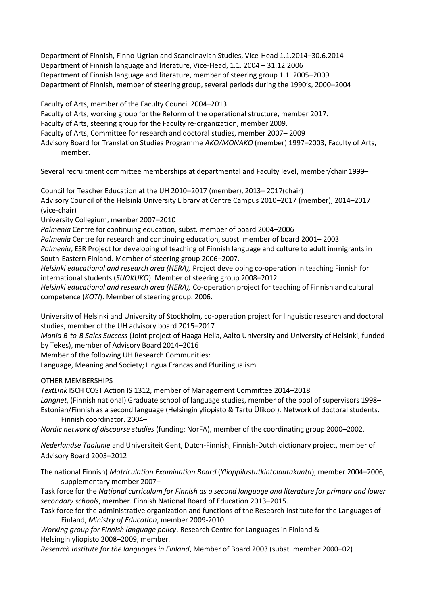Department of Finnish, Finno-Ugrian and Scandinavian Studies, Vice-Head 1.1.2014–30.6.2014 Department of Finnish language and literature, Vice-Head, 1.1. 2004 – 31.12.2006 Department of Finnish language and literature, member of steering group 1.1. 2005–2009 Department of Finnish, member of steering group, several periods during the 1990's, 2000–2004

Faculty of Arts, member of the Faculty Council 2004–2013 Faculty of Arts, working group for the Reform of the operational structure, member 2017. Faculty of Arts, steering group for the Faculty re-organization, member 2009. Faculty of Arts, Committee for research and doctoral studies, member 2007– 2009 Advisory Board for Translation Studies Programme *AKO/MONAKO* (member) 1997–2003, Faculty of Arts, member.

Several recruitment committee memberships at departmental and Faculty level, member/chair 1999–

Council for Teacher Education at the UH 2010–2017 (member), 2013– 2017(chair) Advisory Council of the Helsinki University Library at Centre Campus 2010–2017 (member), 2014–2017 (vice-chair)

University Collegium, member 2007–2010

*Palmenia* Centre for continuing education, subst. member of board 2004–2006

*Palmenia* Centre for research and continuing education, subst. member of board 2001– 2003 *Palmenia*, ESR Project for developing of teaching of Finnish language and culture to adult immigrants in South-Eastern Finland. Member of steering group 2006–2007.

*Helsinki educational and research area (HERA),* Project developing co-operation in teaching Finnish for international students (*SUOKUKO*). Member of steering group 2008–2012

*Helsinki educational and research area (HERA),* Co-operation project for teaching of Finnish and cultural competence (*KOTI*). Member of steering group. 2006.

University of Helsinki and University of Stockholm, co-operation project for linguistic research and doctoral studies, member of the UH advisory board 2015–2017

*Mania B-to-B Sales Success* (Joint project of Haaga Helia, Aalto University and University of Helsinki, funded by Tekes), member of Advisory Board 2014–2016

Member of the following UH Research Communities:

Language, Meaning and Society; Lingua Francas and Plurilingualism.

OTHER MEMBERSHIPS

*TextLink* ISCH COST Action IS 1312, member of Management Committee 2014–2018

*Langnet*, (Finnish national) Graduate school of language studies, member of the pool of supervisors 1998– Estonian/Finnish as a second language (Helsingin yliopisto & Tartu Ülikool). Network of doctoral students.

Finnish coordinator. 2004–

*Nordic network of discourse studies* (funding: NorFA), member of the coordinating group 2000–2002.

*Nederlandse Taalunie* and Universiteit Gent, Dutch-Finnish, Finnish-Dutch dictionary project, member of Advisory Board 2003–2012

The national Finnish) *Matriculation Examination Board* (*Ylioppilastutkintolautakunta*), member 2004–2006, supplementary member 2007–

Task force for the *National curriculum for Finnish as a second language and literature for primary and lower secondary schools*, member. Finnish National Board of Education 2013–2015.

Task force for the administrative organization and functions of the Research Institute for the Languages of Finland, *Ministry of Education*, member 2009-2010.

*Working group for Finnish language policy*. Research Centre for Languages in Finland & Helsingin yliopisto 2008–2009, member.

*Research Institute for the languages in Finland*, Member of Board 2003 (subst. member 2000–02)